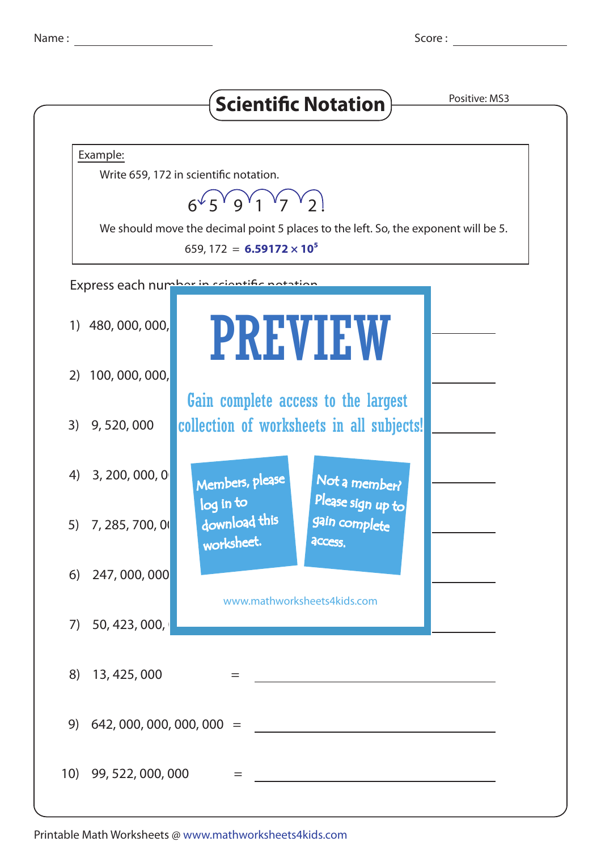